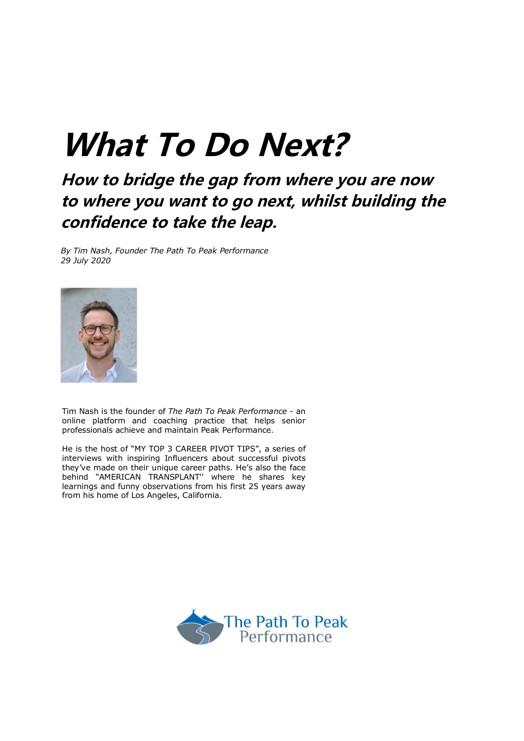# **What To Do Next?**

# **How to bridge the gap from where you are now to where you want to go next, whilst building the confidence to take the leap.**

*By Tim Nash, Founder The Path To Peak Performance 29 July 2020*



Tim Nash is the founder of *The Path To Peak Performance* - an online platform and coaching practice that helps senior professionals achieve and maintain Peak Performance.

He is the host of "MY TOP 3 CAREER PIVOT TIPS", a series of interviews with inspiring Influencers about successful pivots they've made on their unique career paths. He's also the face behind "AMERICAN TRANSPLANT'' where he shares key learnings and funny observations from his first 25 years away from his home of Los Angeles, California.

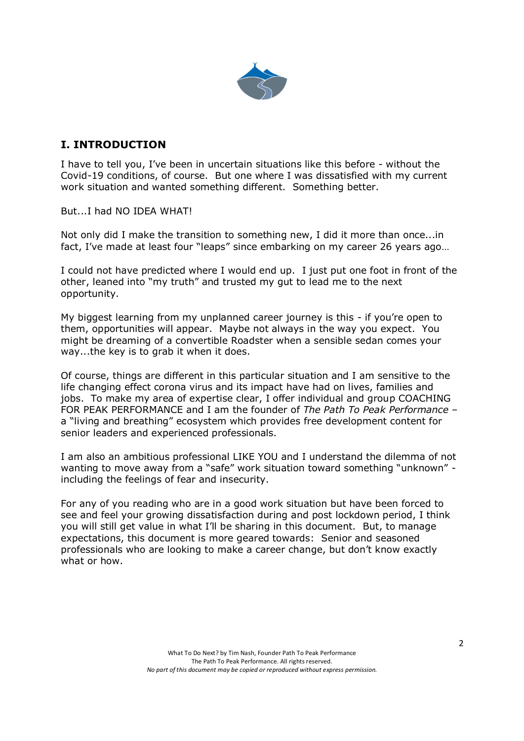

# **I. INTRODUCTION**

I have to tell you, I've been in uncertain situations like this before - without the Covid-19 conditions, of course. But one where I was dissatisfied with my current work situation and wanted something different. Something better.

But...I had NO IDEA WHAT!

Not only did I make the transition to something new, I did it more than once...in fact, I've made at least four "leaps" since embarking on my career 26 years ago…

I could not have predicted where I would end up. I just put one foot in front of the other, leaned into "my truth" and trusted my gut to lead me to the next opportunity.

My biggest learning from my unplanned career journey is this - if you're open to them, opportunities will appear. Maybe not always in the way you expect. You might be dreaming of a convertible Roadster when a sensible sedan comes your way...the key is to grab it when it does.

Of course, things are different in this particular situation and I am sensitive to the life changing effect corona virus and its impact have had on lives, families and jobs. To make my area of expertise clear, I offer individual and group COACHING FOR PEAK PERFORMANCE and I am the founder of *The Path To Peak Performance* – a "living and breathing" ecosystem which provides free development content for senior leaders and experienced professionals.

I am also an ambitious professional LIKE YOU and I understand the dilemma of not wanting to move away from a "safe" work situation toward something "unknown" including the feelings of fear and insecurity.

For any of you reading who are in a good work situation but have been forced to see and feel your growing dissatisfaction during and post lockdown period, I think you will still get value in what I'll be sharing in this document. But, to manage expectations, this document is more geared towards: Senior and seasoned professionals who are looking to make a career change, but don't know exactly what or how.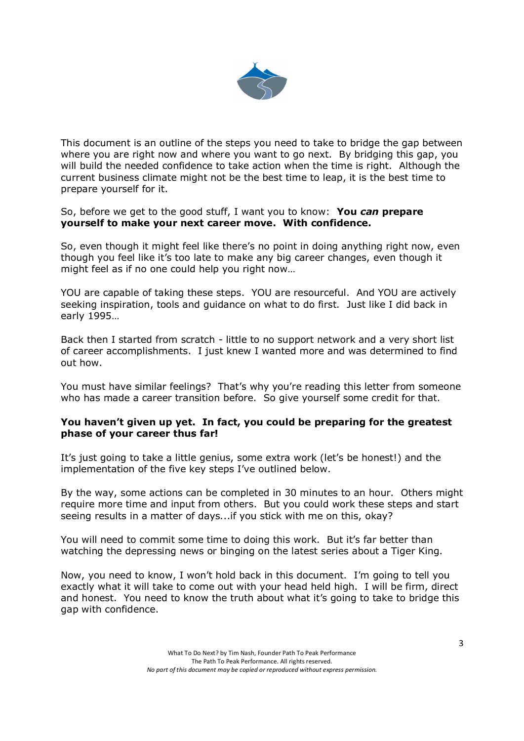

This document is an outline of the steps you need to take to bridge the gap between where you are right now and where you want to go next. By bridging this gap, you will build the needed confidence to take action when the time is right. Although the current business climate might not be the best time to leap, it is the best time to prepare yourself for it.

So, before we get to the good stuff, I want you to know: **You** *can* **prepare yourself to make your next career move. With confidence.**

So, even though it might feel like there's no point in doing anything right now, even though you feel like it's too late to make any big career changes, even though it might feel as if no one could help you right now…

YOU are capable of taking these steps. YOU are resourceful. And YOU are actively seeking inspiration, tools and guidance on what to do first. Just like I did back in early 1995…

Back then I started from scratch - little to no support network and a very short list of career accomplishments. I just knew I wanted more and was determined to find out how.

You must have similar feelings? That's why you're reading this letter from someone who has made a career transition before. So give yourself some credit for that.

#### **You haven't given up yet. In fact, you could be preparing for the greatest phase of your career thus far!**

It's just going to take a little genius, some extra work (let's be honest!) and the implementation of the five key steps I've outlined below.

By the way, some actions can be completed in 30 minutes to an hour. Others might require more time and input from others. But you could work these steps and start seeing results in a matter of days...if you stick with me on this, okay?

You will need to commit some time to doing this work. But it's far better than watching the depressing news or binging on the latest series about a Tiger King.

Now, you need to know, I won't hold back in this document. I'm going to tell you exactly what it will take to come out with your head held high. I will be firm, direct and honest. You need to know the truth about what it's going to take to bridge this gap with confidence.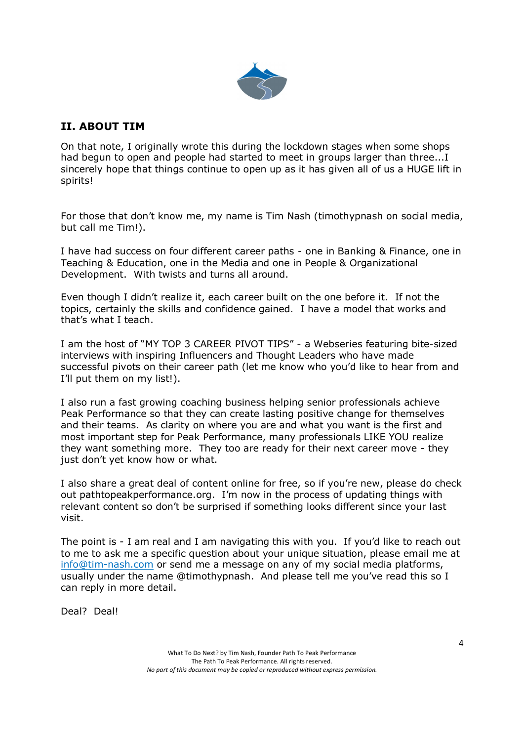

# **II. ABOUT TIM**

On that note, I originally wrote this during the lockdown stages when some shops had begun to open and people had started to meet in groups larger than three...I sincerely hope that things continue to open up as it has given all of us a HUGE lift in spirits!

For those that don't know me, my name is Tim Nash (timothypnash on social media, but call me Tim!).

I have had success on four different career paths - one in Banking & Finance, one in Teaching & Education, one in the Media and one in People & Organizational Development. With twists and turns all around.

Even though I didn't realize it, each career built on the one before it. If not the topics, certainly the skills and confidence gained. I have a model that works and that's what I teach.

I am the host of "MY TOP 3 CAREER PIVOT TIPS" - a Webseries featuring bite-sized interviews with inspiring Influencers and Thought Leaders who have made successful pivots on their career path (let me know who you'd like to hear from and I'll put them on my list!).

I also run a fast growing coaching business helping senior professionals achieve Peak Performance so that they can create lasting positive change for themselves and their teams. As clarity on where you are and what you want is the first and most important step for Peak Performance, many professionals LIKE YOU realize they want something more. They too are ready for their next career move - they just don't yet know how or what.

I also share a great deal of content online for free, so if you're new, please do check out pathtopeakperformance.org. I'm now in the process of updating things with relevant content so don't be surprised if something looks different since your last visit.

The point is - I am real and I am navigating this with you. If you'd like to reach out to me to ask me a specific question about your unique situation, please email me at info@tim-nash.com or send me a message on any of my social media platforms, usually under the name @timothypnash. And please tell me you've read this so I can reply in more detail.

Deal? Deal!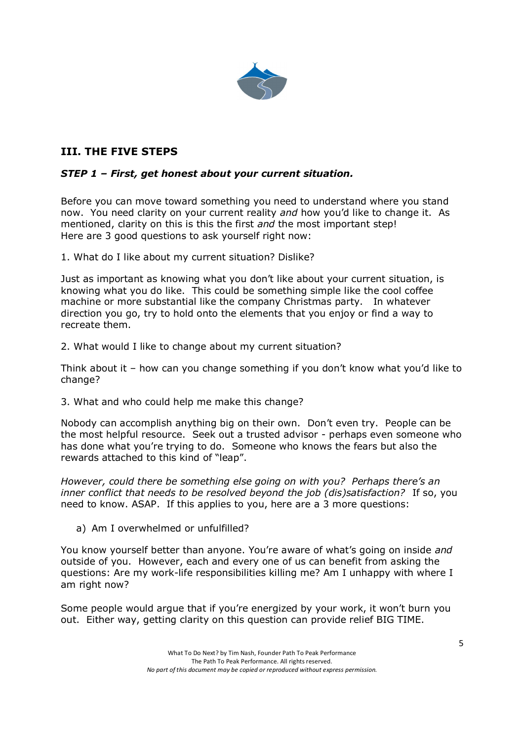

# **III. THE FIVE STEPS**

#### *STEP 1 – First, get honest about your current situation.*

Before you can move toward something you need to understand where you stand now. You need clarity on your current reality *and* how you'd like to change it. As mentioned, clarity on this is this the first *and* the most important step! Here are 3 good questions to ask yourself right now:

1. What do I like about my current situation? Dislike?

Just as important as knowing what you don't like about your current situation, is knowing what you do like. This could be something simple like the cool coffee machine or more substantial like the company Christmas party. In whatever direction you go, try to hold onto the elements that you enjoy or find a way to recreate them.

2. What would I like to change about my current situation?

Think about it – how can you change something if you don't know what you'd like to change?

3. What and who could help me make this change?

Nobody can accomplish anything big on their own. Don't even try. People can be the most helpful resource. Seek out a trusted advisor - perhaps even someone who has done what you're trying to do. Someone who knows the fears but also the rewards attached to this kind of "leap".

*However, could there be something else going on with you? Perhaps there's an inner conflict that needs to be resolved beyond the job (dis)satisfaction?* If so, you need to know. ASAP. If this applies to you, here are a 3 more questions:

a) Am I overwhelmed or unfulfilled?

You know yourself better than anyone. You're aware of what's going on inside *and* outside of you. However, each and every one of us can benefit from asking the questions: Are my work-life responsibilities killing me? Am I unhappy with where I am right now?

Some people would argue that if you're energized by your work, it won't burn you out. Either way, getting clarity on this question can provide relief BIG TIME.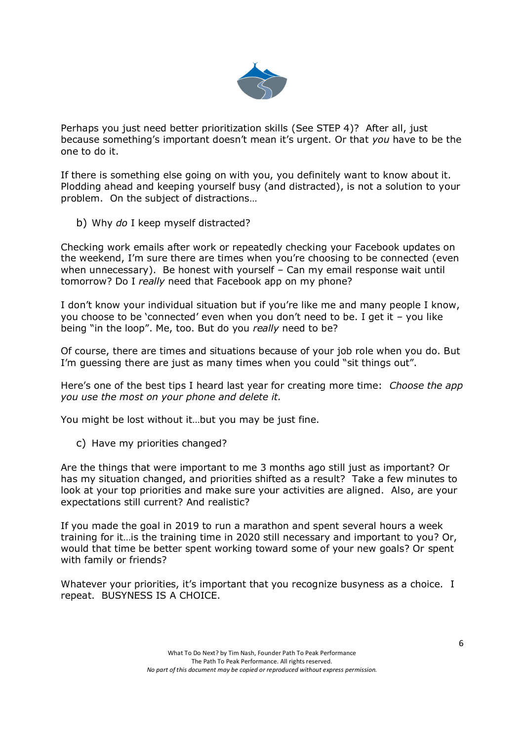

Perhaps you just need better prioritization skills (See STEP 4)? After all, just because something's important doesn't mean it's urgent. Or that *you* have to be the one to do it.

If there is something else going on with you, you definitely want to know about it. Plodding ahead and keeping yourself busy (and distracted), is not a solution to your problem. On the subject of distractions…

b) Why *do* I keep myself distracted?

Checking work emails after work or repeatedly checking your Facebook updates on the weekend, I'm sure there are times when you're choosing to be connected (even when unnecessary). Be honest with yourself – Can my email response wait until tomorrow? Do I *really* need that Facebook app on my phone?

I don't know your individual situation but if you're like me and many people I know, you choose to be 'connected' even when you don't need to be. I get it – you like being "in the loop". Me, too. But do you *really* need to be?

Of course, there are times and situations because of your job role when you do. But I'm quessing there are just as many times when you could "sit things out".

Here's one of the best tips I heard last year for creating more time: *Choose the app you use the most on your phone and delete it.*

You might be lost without it…but you may be just fine.

c) Have my priorities changed?

Are the things that were important to me 3 months ago still just as important? Or has my situation changed, and priorities shifted as a result? Take a few minutes to look at your top priorities and make sure your activities are aligned. Also, are your expectations still current? And realistic?

If you made the goal in 2019 to run a marathon and spent several hours a week training for it…is the training time in 2020 still necessary and important to you? Or, would that time be better spent working toward some of your new goals? Or spent with family or friends?

Whatever your priorities, it's important that you recognize busyness as a choice. I repeat. BUSYNESS IS A CHOICE.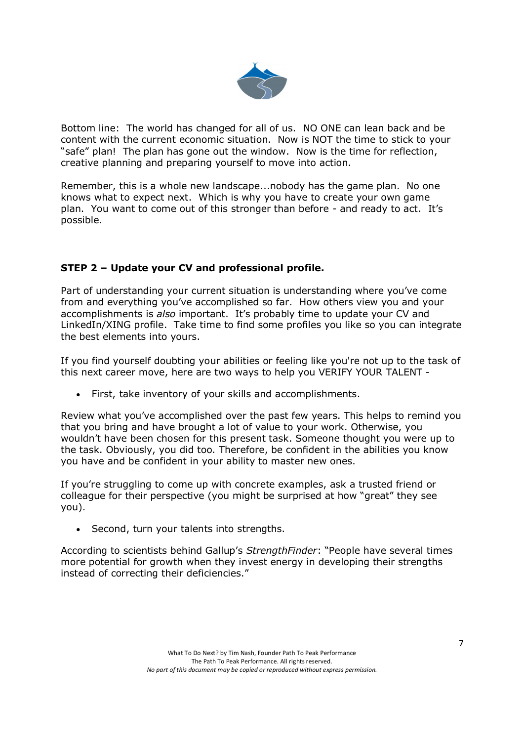

Bottom line: The world has changed for all of us. NO ONE can lean back and be content with the current economic situation. Now is NOT the time to stick to your "safe" plan! The plan has gone out the window. Now is the time for reflection, creative planning and preparing yourself to move into action.

Remember, this is a whole new landscape...nobody has the game plan. No one knows what to expect next. Which is why you have to create your own game plan. You want to come out of this stronger than before - and ready to act. It's possible.

# **STEP 2 – Update your CV and professional profile.**

Part of understanding your current situation is understanding where you've come from and everything you've accomplished so far. How others view you and your accomplishments is *also* important. It's probably time to update your CV and LinkedIn/XING profile. Take time to find some profiles you like so you can integrate the best elements into yours.

If you find yourself doubting your abilities or feeling like you're not up to the task of this next career move, here are two ways to help you VERIFY YOUR TALENT -

First, take inventory of your skills and accomplishments.

Review what you've accomplished over the past few years. This helps to remind you that you bring and have brought a lot of value to your work. Otherwise, you wouldn't have been chosen for this present task. Someone thought you were up to the task. Obviously, you did too. Therefore, be confident in the abilities you know you have and be confident in your ability to master new ones.

If you're struggling to come up with concrete examples, ask a trusted friend or colleague for their perspective (you might be surprised at how "great" they see you).

• Second, turn your talents into strengths.

According to scientists behind Gallup's *StrengthFinder*: "People have several times more potential for growth when they invest energy in developing their strengths instead of correcting their deficiencies."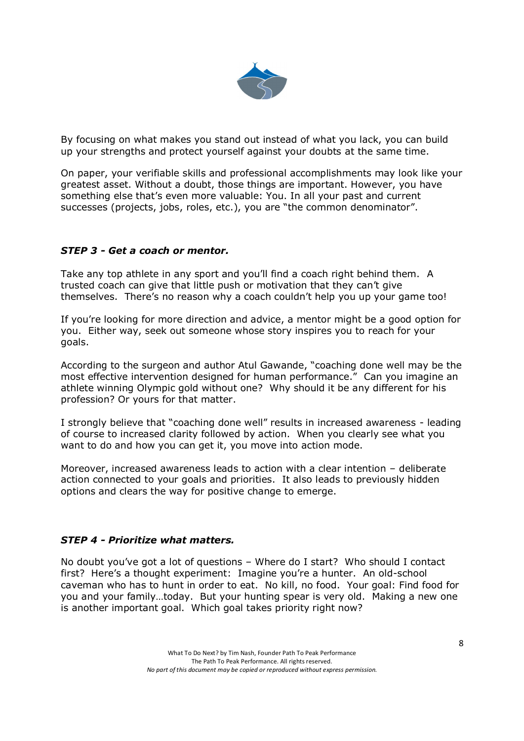

By focusing on what makes you stand out instead of what you lack, you can build up your strengths and protect yourself against your doubts at the same time.

On paper, your verifiable skills and professional accomplishments may look like your greatest asset. Without a doubt, those things are important. However, you have something else that's even more valuable: You. In all your past and current successes (projects, jobs, roles, etc.), you are "the common denominator".

#### *STEP 3 - Get a coach or mentor.*

Take any top athlete in any sport and you'll find a coach right behind them. A trusted coach can give that little push or motivation that they can't give themselves. There's no reason why a coach couldn't help you up your game too!

If you're looking for more direction and advice, a mentor might be a good option for you. Either way, seek out someone whose story inspires you to reach for your goals.

According to the surgeon and author Atul Gawande, "coaching done well may be the most effective intervention designed for human performance." Can you imagine an athlete winning Olympic gold without one? Why should it be any different for his profession? Or yours for that matter.

I strongly believe that "coaching done well" results in increased awareness - leading of course to increased clarity followed by action. When you clearly see what you want to do and how you can get it, you move into action mode.

Moreover, increased awareness leads to action with a clear intention – deliberate action connected to your goals and priorities. It also leads to previously hidden options and clears the way for positive change to emerge.

#### *STEP 4 - Prioritize what matters.*

No doubt you've got a lot of questions – Where do I start? Who should I contact first? Here's a thought experiment: Imagine you're a hunter. An old-school caveman who has to hunt in order to eat. No kill, no food. Your goal: Find food for you and your family…today. But your hunting spear is very old. Making a new one is another important goal. Which goal takes priority right now?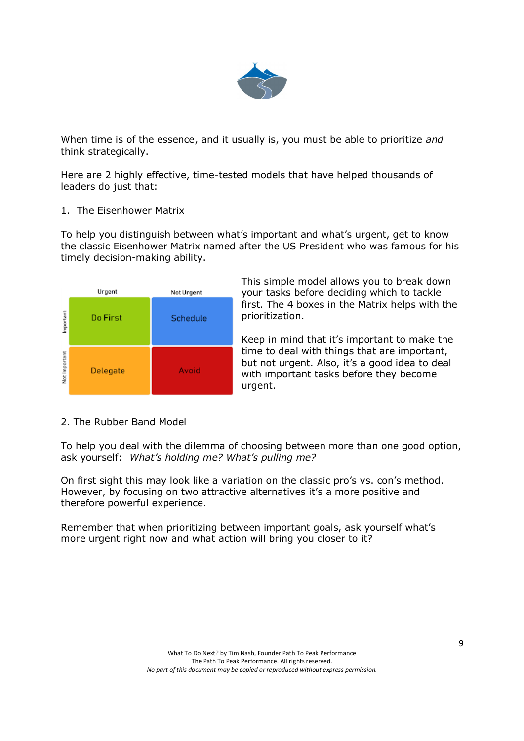

When time is of the essence, and it usually is, you must be able to prioritize *and* think strategically.

Here are 2 highly effective, time-tested models that have helped thousands of leaders do just that:

#### 1. The Eisenhower Matrix

To help you distinguish between what's important and what's urgent, get to know the classic Eisenhower Matrix named after the US President who was famous for his timely decision-making ability.

|               | Urgent   | Not Urgent |
|---------------|----------|------------|
| Important     | Do First | Schedule   |
| Not Important | Delegate | Avoid      |

This simple model allows you to break down your tasks before deciding which to tackle first. The 4 boxes in the Matrix helps with the prioritization.

Keep in mind that it's important to make the time to deal with things that are important, but not urgent. Also, it's a good idea to deal with important tasks before they become urgent.

#### 2. The Rubber Band Model

To help you deal with the dilemma of choosing between more than one good option, ask yourself: *What's holding me? What's pulling me?*

On first sight this may look like a variation on the classic pro's vs. con's method. However, by focusing on two attractive alternatives it's a more positive and therefore powerful experience.

Remember that when prioritizing between important goals, ask yourself what's more urgent right now and what action will bring you closer to it?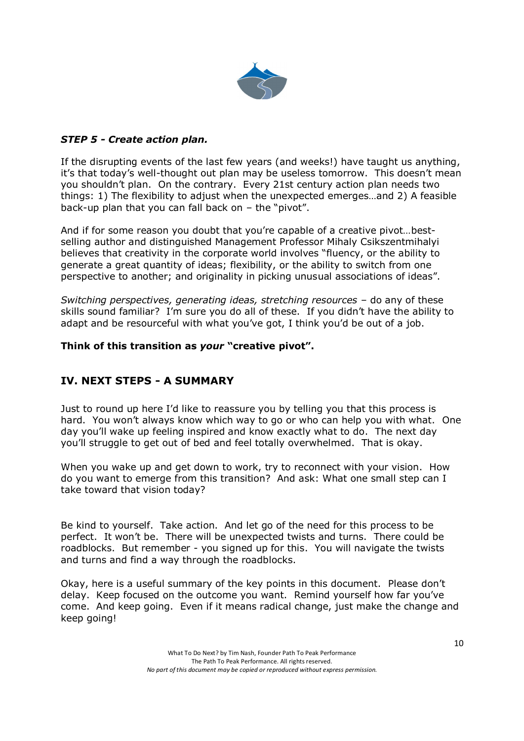

#### *STEP 5 - Create action plan.*

If the disrupting events of the last few years (and weeks!) have taught us anything, it's that today's well-thought out plan may be useless tomorrow. This doesn't mean you shouldn't plan. On the contrary. Every 21st century action plan needs two things: 1) The flexibility to adjust when the unexpected emerges…and 2) A feasible back-up plan that you can fall back on – the "pivot".

And if for some reason you doubt that you're capable of a creative pivot…bestselling author and distinguished Management Professor Mihaly Csikszentmihalyi believes that creativity in the corporate world involves "fluency, or the ability to generate a great quantity of ideas; flexibility, or the ability to switch from one perspective to another; and originality in picking unusual associations of ideas".

*Switching perspectives, generating ideas, stretching resources* – do any of these skills sound familiar? I'm sure you do all of these. If you didn't have the ability to adapt and be resourceful with what you've got, I think you'd be out of a job.

#### **Think of this transition as** *your* **"creative pivot".**

# **IV. NEXT STEPS - A SUMMARY**

Just to round up here I'd like to reassure you by telling you that this process is hard. You won't always know which way to go or who can help you with what. One day you'll wake up feeling inspired and know exactly what to do. The next day you'll struggle to get out of bed and feel totally overwhelmed. That is okay.

When you wake up and get down to work, try to reconnect with your vision. How do you want to emerge from this transition? And ask: What one small step can I take toward that vision today?

Be kind to yourself. Take action. And let go of the need for this process to be perfect. It won't be. There will be unexpected twists and turns. There could be roadblocks. But remember - you signed up for this. You will navigate the twists and turns and find a way through the roadblocks.

Okay, here is a useful summary of the key points in this document. Please don't delay. Keep focused on the outcome you want. Remind yourself how far you've come. And keep going. Even if it means radical change, just make the change and keep going!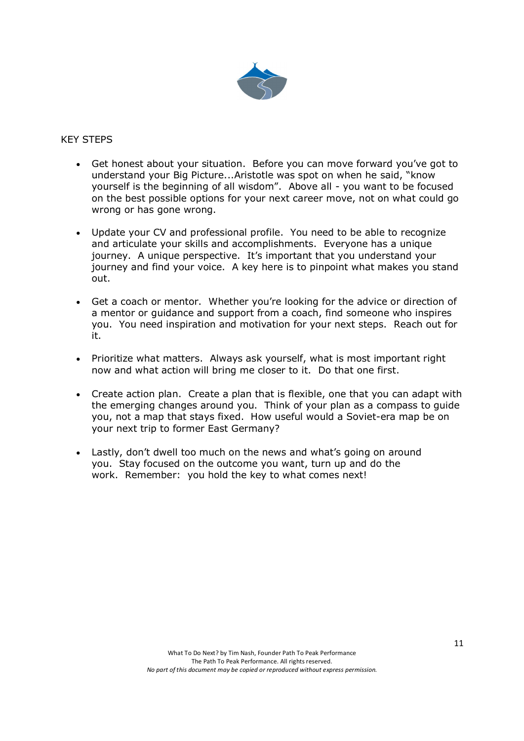

#### KEY STEPS

- Get honest about your situation. Before you can move forward you've got to understand your Big Picture...Aristotle was spot on when he said, "know yourself is the beginning of all wisdom". Above all - you want to be focused on the best possible options for your next career move, not on what could go wrong or has gone wrong.
- Update your CV and professional profile. You need to be able to recognize and articulate your skills and accomplishments. Everyone has a unique journey. A unique perspective. It's important that you understand your journey and find your voice. A key here is to pinpoint what makes you stand out.
- Get a coach or mentor. Whether you're looking for the advice or direction of a mentor or guidance and support from a coach, find someone who inspires you. You need inspiration and motivation for your next steps. Reach out for it.
- Prioritize what matters. Always ask yourself, what is most important right now and what action will bring me closer to it. Do that one first.
- Create action plan. Create a plan that is flexible, one that you can adapt with the emerging changes around you. Think of your plan as a compass to guide you, not a map that stays fixed. How useful would a Soviet-era map be on your next trip to former East Germany?
- Lastly, don't dwell too much on the news and what's going on around you. Stay focused on the outcome you want, turn up and do the work. Remember: you hold the key to what comes next!